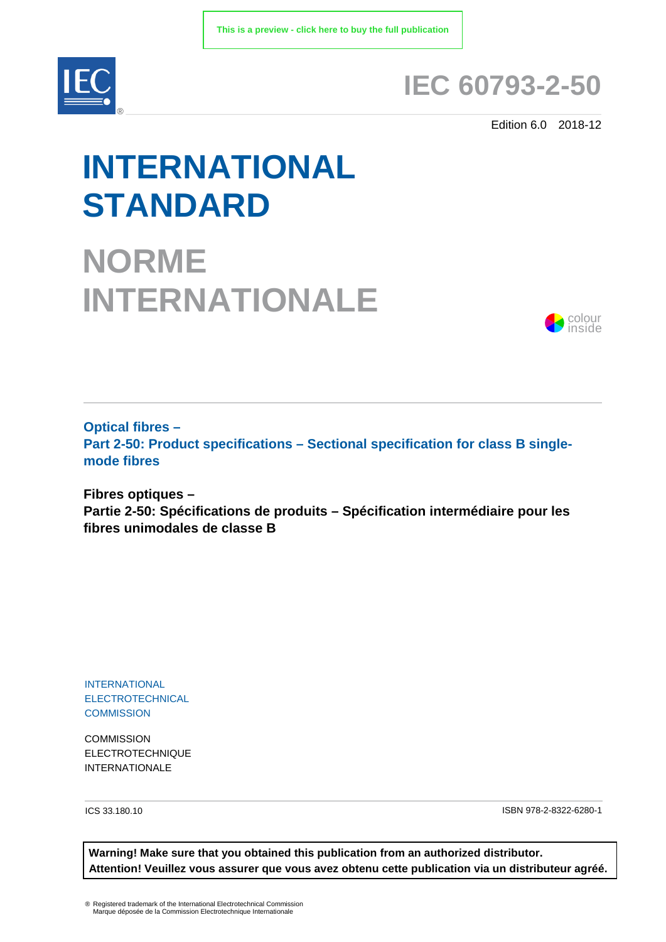

## **IEC 60793-2-50**

Edition 6.0 2018-12

# **INTERNATIONAL STANDARD**

**NORME INTERNATIONALE**



**Optical fibres – Part 2-50: Product specifications – Sectional specification for class B singlemode fibres**

**Fibres optiques – Partie 2-50: Spécifications de produits – Spécification intermédiaire pour les fibres unimodales de classe B**

INTERNATIONAL ELECTROTECHNICAL **COMMISSION** 

**COMMISSION** ELECTROTECHNIQUE INTERNATIONALE

ICS 33.180.10 ISBN 978-2-8322-6280-1

**Warning! Make sure that you obtained this publication from an authorized distributor. Attention! Veuillez vous assurer que vous avez obtenu cette publication via un distributeur agréé.**

® Registered trademark of the International Electrotechnical Commission Marque déposée de la Commission Electrotechnique Internationale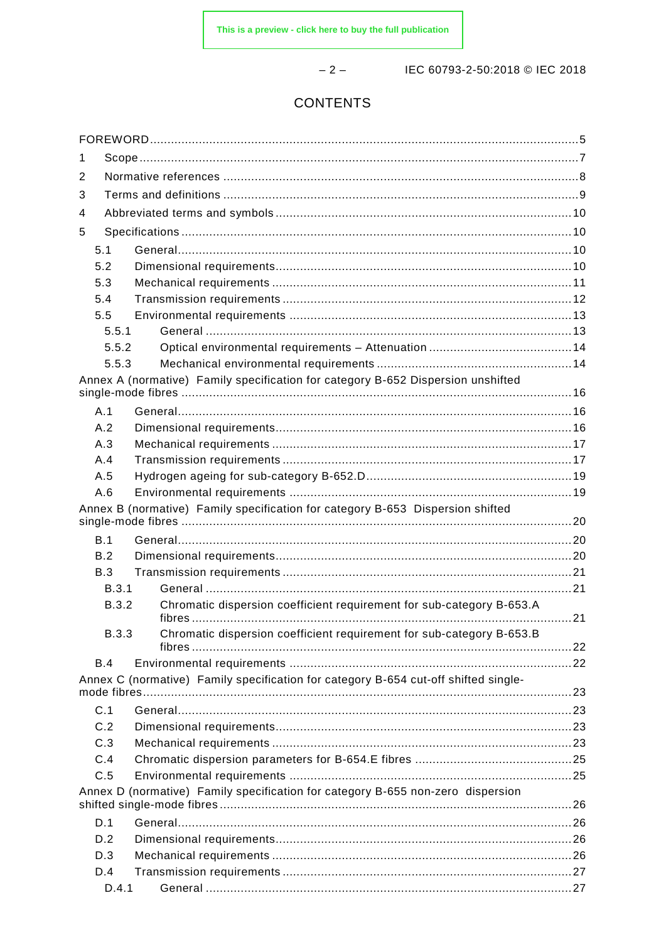$-2-$ 

IEC 60793-2-50:2018 © IEC 2018

### **CONTENTS**

| 1 |                                                                                 |                                                                                     |  |  |  |  |
|---|---------------------------------------------------------------------------------|-------------------------------------------------------------------------------------|--|--|--|--|
| 2 |                                                                                 |                                                                                     |  |  |  |  |
| 3 |                                                                                 |                                                                                     |  |  |  |  |
| 4 |                                                                                 |                                                                                     |  |  |  |  |
| 5 |                                                                                 |                                                                                     |  |  |  |  |
|   | 5.1                                                                             |                                                                                     |  |  |  |  |
|   | 5.2                                                                             |                                                                                     |  |  |  |  |
|   | 5.3                                                                             |                                                                                     |  |  |  |  |
|   | 5.4                                                                             |                                                                                     |  |  |  |  |
|   | 5.5                                                                             |                                                                                     |  |  |  |  |
|   | 5.5.1                                                                           |                                                                                     |  |  |  |  |
|   | 5.5.2                                                                           |                                                                                     |  |  |  |  |
|   | 5.5.3                                                                           |                                                                                     |  |  |  |  |
|   |                                                                                 | Annex A (normative) Family specification for category B-652 Dispersion unshifted    |  |  |  |  |
|   | A.1                                                                             |                                                                                     |  |  |  |  |
|   | A.2                                                                             |                                                                                     |  |  |  |  |
|   | A.3                                                                             |                                                                                     |  |  |  |  |
|   | A.4                                                                             |                                                                                     |  |  |  |  |
|   | A.5                                                                             |                                                                                     |  |  |  |  |
|   | A.6                                                                             |                                                                                     |  |  |  |  |
|   |                                                                                 | Annex B (normative) Family specification for category B-653 Dispersion shifted      |  |  |  |  |
|   | B.1                                                                             |                                                                                     |  |  |  |  |
|   | B.2                                                                             |                                                                                     |  |  |  |  |
|   | B.3                                                                             |                                                                                     |  |  |  |  |
|   | B.3.1                                                                           |                                                                                     |  |  |  |  |
|   | B.3.2                                                                           | Chromatic dispersion coefficient requirement for sub-category B-653.A               |  |  |  |  |
|   | <b>B.3.3</b>                                                                    | Chromatic dispersion coefficient requirement for sub-category B-653.B               |  |  |  |  |
|   | B.4                                                                             |                                                                                     |  |  |  |  |
|   |                                                                                 | Annex C (normative) Family specification for category B-654 cut-off shifted single- |  |  |  |  |
|   | mode fibres                                                                     |                                                                                     |  |  |  |  |
|   | C.1                                                                             |                                                                                     |  |  |  |  |
|   | C.2                                                                             |                                                                                     |  |  |  |  |
|   | C.3                                                                             |                                                                                     |  |  |  |  |
|   | C.4                                                                             |                                                                                     |  |  |  |  |
|   | C.5                                                                             |                                                                                     |  |  |  |  |
|   | Annex D (normative) Family specification for category B-655 non-zero dispersion |                                                                                     |  |  |  |  |
|   | D.1                                                                             |                                                                                     |  |  |  |  |
|   | D.2                                                                             |                                                                                     |  |  |  |  |
|   | D.3                                                                             |                                                                                     |  |  |  |  |
|   | D.4                                                                             |                                                                                     |  |  |  |  |
|   | D.4.1                                                                           |                                                                                     |  |  |  |  |
|   |                                                                                 |                                                                                     |  |  |  |  |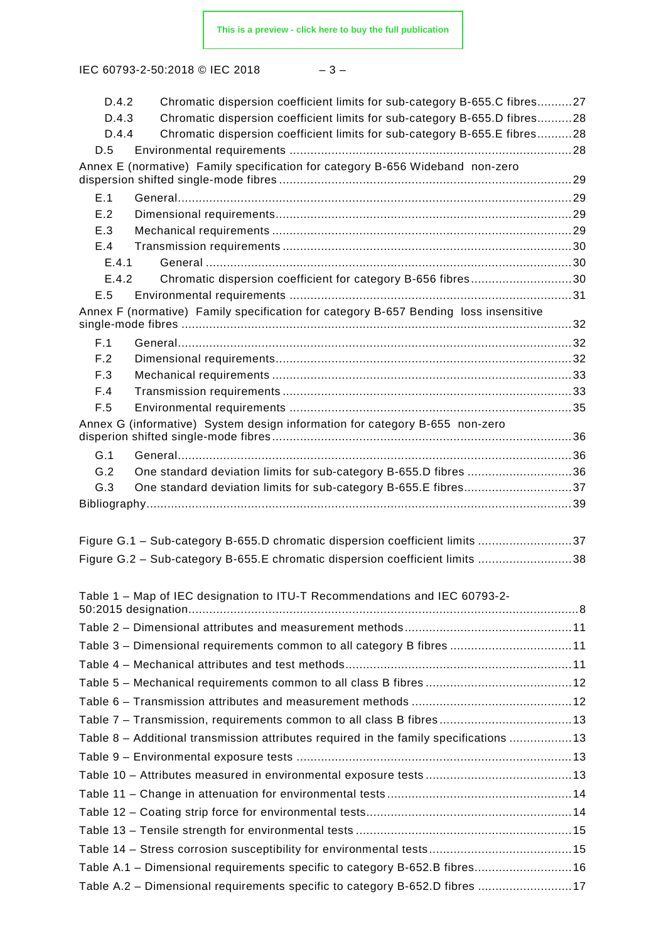IEC 60793-2-50:2018 © IEC 2018

| v | ۰. |
|---|----|
|---|----|

| D.4.2 | Chromatic dispersion coefficient limits for sub-category B-655.C fibres27             |  |  |  |  |  |  |
|-------|---------------------------------------------------------------------------------------|--|--|--|--|--|--|
| D.4.3 | Chromatic dispersion coefficient limits for sub-category B-655.D fibres28             |  |  |  |  |  |  |
| D.4.4 | Chromatic dispersion coefficient limits for sub-category B-655.E fibres28             |  |  |  |  |  |  |
| D.5   |                                                                                       |  |  |  |  |  |  |
|       | Annex E (normative) Family specification for category B-656 Wideband non-zero         |  |  |  |  |  |  |
| E.1   |                                                                                       |  |  |  |  |  |  |
| E.2   |                                                                                       |  |  |  |  |  |  |
| E.3   |                                                                                       |  |  |  |  |  |  |
| E.4   |                                                                                       |  |  |  |  |  |  |
| E.4.1 |                                                                                       |  |  |  |  |  |  |
| E.4.2 | Chromatic dispersion coefficient for category B-656 fibres30                          |  |  |  |  |  |  |
| E.5   |                                                                                       |  |  |  |  |  |  |
|       | Annex F (normative) Family specification for category B-657 Bending loss insensitive  |  |  |  |  |  |  |
| F.1   |                                                                                       |  |  |  |  |  |  |
| F.2   |                                                                                       |  |  |  |  |  |  |
| F.3   |                                                                                       |  |  |  |  |  |  |
| F.4   |                                                                                       |  |  |  |  |  |  |
| F.5   |                                                                                       |  |  |  |  |  |  |
|       | Annex G (informative) System design information for category B-655 non-zero           |  |  |  |  |  |  |
| G.1   |                                                                                       |  |  |  |  |  |  |
| G.2   | One standard deviation limits for sub-category B-655.D fibres 36                      |  |  |  |  |  |  |
| G.3   | One standard deviation limits for sub-category B-655.E fibres37                       |  |  |  |  |  |  |
|       |                                                                                       |  |  |  |  |  |  |
|       |                                                                                       |  |  |  |  |  |  |
|       | Figure G.1 - Sub-category B-655.D chromatic dispersion coefficient limits 37          |  |  |  |  |  |  |
|       | Figure G.2 - Sub-category B-655.E chromatic dispersion coefficient limits 38          |  |  |  |  |  |  |
|       |                                                                                       |  |  |  |  |  |  |
|       | Table 1 - Map of IEC designation to ITU-T Recommendations and IEC 60793-2-            |  |  |  |  |  |  |
|       |                                                                                       |  |  |  |  |  |  |
|       | Table 3 - Dimensional requirements common to all category B fibres 11                 |  |  |  |  |  |  |
|       |                                                                                       |  |  |  |  |  |  |
|       |                                                                                       |  |  |  |  |  |  |
|       |                                                                                       |  |  |  |  |  |  |
|       |                                                                                       |  |  |  |  |  |  |
|       | Table 7 - Transmission, requirements common to all class B fibres 13                  |  |  |  |  |  |  |
|       | Table 8 - Additional transmission attributes required in the family specifications 13 |  |  |  |  |  |  |
|       |                                                                                       |  |  |  |  |  |  |
|       |                                                                                       |  |  |  |  |  |  |
|       |                                                                                       |  |  |  |  |  |  |
|       |                                                                                       |  |  |  |  |  |  |
|       |                                                                                       |  |  |  |  |  |  |
|       |                                                                                       |  |  |  |  |  |  |
|       |                                                                                       |  |  |  |  |  |  |
|       | Table A.1 - Dimensional requirements specific to category B-652.B fibres 16           |  |  |  |  |  |  |
|       | Table A.2 - Dimensional requirements specific to category B-652.D fibres 17           |  |  |  |  |  |  |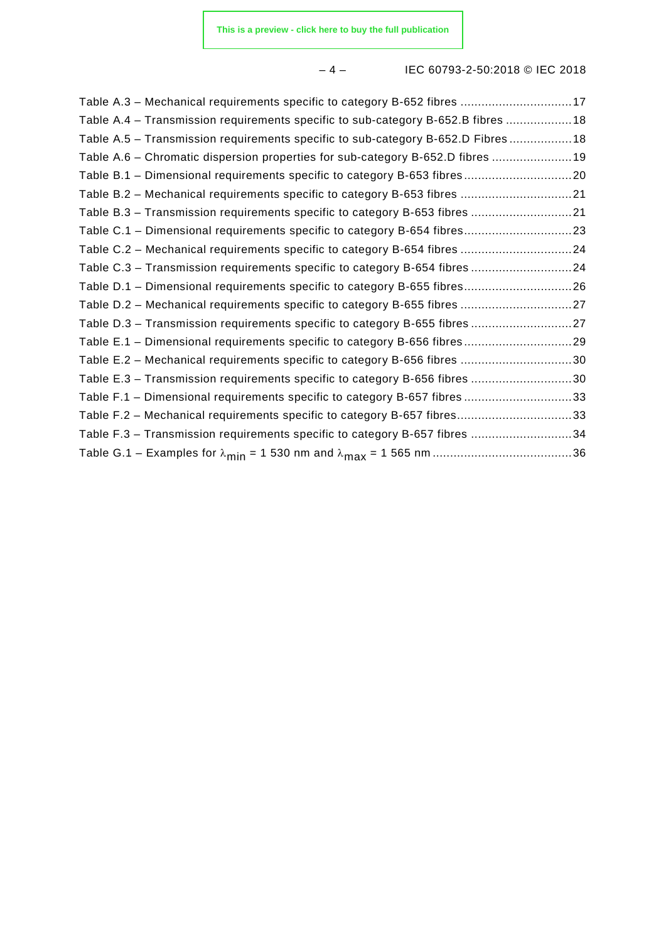#### – 4 – IEC 60793-2-50:2018 © IEC 2018

| Table A.3 - Mechanical requirements specific to category B-652 fibres 17          |  |
|-----------------------------------------------------------------------------------|--|
| Table A.4 – Transmission requirements specific to sub-category B-652.B fibres 18  |  |
| Table A.5 - Transmission requirements specific to sub-category B-652.D Fibres  18 |  |
| Table A.6 - Chromatic dispersion properties for sub-category B-652.D fibres 19    |  |
|                                                                                   |  |
| Table B.2 - Mechanical requirements specific to category B-653 fibres 21          |  |
| Table B.3 - Transmission requirements specific to category B-653 fibres 21        |  |
| Table C.1 - Dimensional requirements specific to category B-654 fibres23          |  |
| Table C.2 - Mechanical requirements specific to category B-654 fibres 24          |  |
| Table C.3 - Transmission requirements specific to category B-654 fibres 24        |  |
| Table D.1 - Dimensional requirements specific to category B-655 fibres26          |  |
| Table D.2 - Mechanical requirements specific to category B-655 fibres 27          |  |
| Table D.3 - Transmission requirements specific to category B-655 fibres 27        |  |
| Table E.1 - Dimensional requirements specific to category B-656 fibres29          |  |
| Table E.2 - Mechanical requirements specific to category B-656 fibres 30          |  |
| Table E.3 - Transmission requirements specific to category B-656 fibres 30        |  |
| Table F.1 - Dimensional requirements specific to category B-657 fibres 33         |  |
| Table F.2 - Mechanical requirements specific to category B-657 fibres33           |  |
| Table F.3 - Transmission requirements specific to category B-657 fibres 34        |  |
|                                                                                   |  |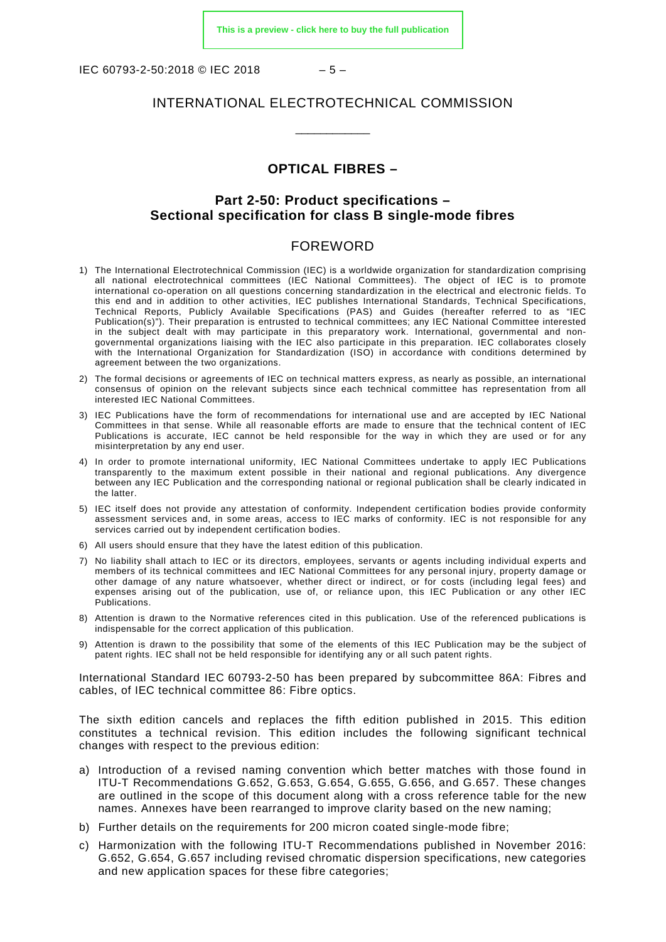IEC 60793-2-50:2018 © IEC 2018 – 5 –

#### INTERNATIONAL ELECTROTECHNICAL COMMISSION

\_\_\_\_\_\_\_\_\_\_\_\_

#### **OPTICAL FIBRES –**

#### **Part 2-50: Product specifications – Sectional specification for class B single-mode fibres**

#### FOREWORD

- <span id="page-4-0"></span>1) The International Electrotechnical Commission (IEC) is a worldwide organization for standardization comprising all national electrotechnical committees (IEC National Committees). The object of IEC is to promote international co-operation on all questions concerning standardization in the electrical and electronic fields. To this end and in addition to other activities, IEC publishes International Standards, Technical Specifications, Technical Reports, Publicly Available Specifications (PAS) and Guides (hereafter referred to as "IEC Publication(s)"). Their preparation is entrusted to technical committees; any IEC National Committee interested in the subject dealt with may participate in this preparatory work. International, governmental and nongovernmental organizations liaising with the IEC also participate in this preparation. IEC collaborates closely with the International Organization for Standardization (ISO) in accordance with conditions determined by agreement between the two organizations.
- 2) The formal decisions or agreements of IEC on technical matters express, as nearly as possible, an international consensus of opinion on the relevant subjects since each technical committee has representation from all interested IEC National Committees.
- 3) IEC Publications have the form of recommendations for international use and are accepted by IEC National Committees in that sense. While all reasonable efforts are made to ensure that the technical content of IEC Publications is accurate, IEC cannot be held responsible for the way in which they are used or for any misinterpretation by any end user.
- 4) In order to promote international uniformity, IEC National Committees undertake to apply IEC Publications transparently to the maximum extent possible in their national and regional publications. Any divergence between any IEC Publication and the corresponding national or regional publication shall be clearly indicated in the latter.
- 5) IEC itself does not provide any attestation of conformity. Independent certification bodies provide conformity assessment services and, in some areas, access to IEC marks of conformity. IEC is not responsible for any services carried out by independent certification bodies.
- 6) All users should ensure that they have the latest edition of this publication.
- 7) No liability shall attach to IEC or its directors, employees, servants or agents including individual experts and members of its technical committees and IEC National Committees for any personal injury, property damage or other damage of any nature whatsoever, whether direct or indirect, or for costs (including legal fees) and expenses arising out of the publication, use of, or reliance upon, this IEC Publication or any other IEC Publications.
- 8) Attention is drawn to the Normative references cited in this publication. Use of the referenced publications is indispensable for the correct application of this publication.
- 9) Attention is drawn to the possibility that some of the elements of this IEC Publication may be the subject of patent rights. IEC shall not be held responsible for identifying any or all such patent rights.

International Standard IEC 60793-2-50 has been prepared by subcommittee 86A: Fibres and cables, of IEC technical committee 86: Fibre optics.

The sixth edition cancels and replaces the fifth edition published in 2015. This edition constitutes a technical revision. This edition includes the following significant technical changes with respect to the previous edition:

- a) Introduction of a revised naming convention which better matches with those found in ITU-T Recommendations G.652, G.653, G.654, G.655, G.656, and G.657. These changes are outlined in the scope of this document along with a cross reference table for the new names. Annexes have been rearranged to improve clarity based on the new naming;
- b) Further details on the requirements for 200 micron coated single-mode fibre;
- c) Harmonization with the following ITU-T Recommendations published in November 2016: G.652, G.654, G.657 including revised chromatic dispersion specifications, new categories and new application spaces for these fibre categories;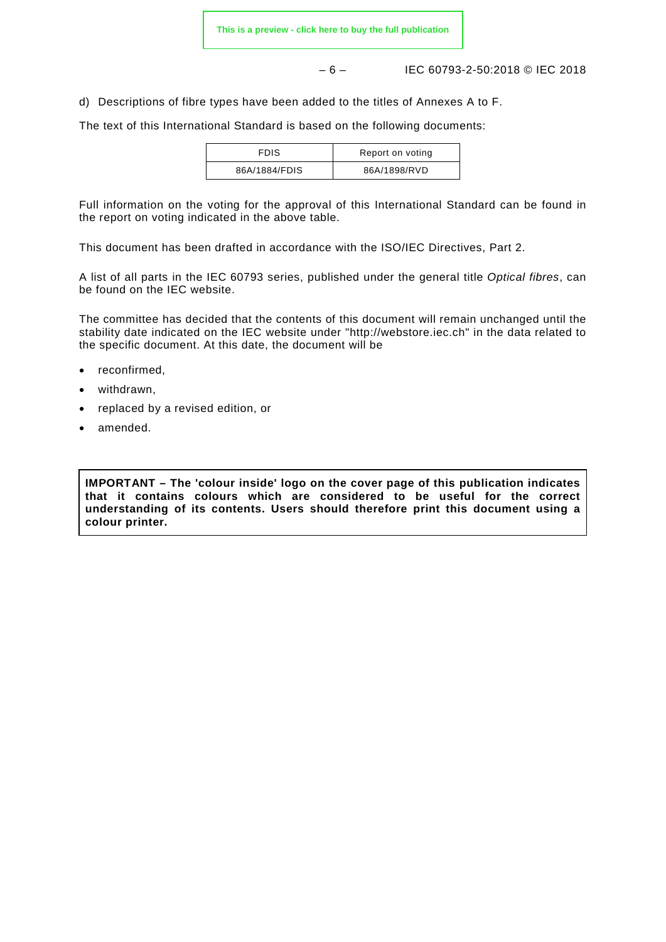– 6 – IEC 60793-2-50:2018 © IEC 2018

d) Descriptions of fibre types have been added to the titles of Annexes A to F.

The text of this International Standard is based on the following documents:

| <b>FDIS</b>   | Report on voting |
|---------------|------------------|
| 86A/1884/FDIS | 86A/1898/RVD     |

Full information on the voting for the approval of this International Standard can be found in the report on voting indicated in the above table.

This document has been drafted in accordance with the ISO/IEC Directives, Part 2.

A list of all parts in the IEC 60793 series, published under the general title *Optical fibres*, can be found on the IEC website.

The committee has decided that the contents of this document will remain unchanged until the stability date indicated on the IEC website under "http://webstore.iec.ch" in the data related to the specific document. At this date, the document will be

- reconfirmed,
- withdrawn.
- replaced by a revised edition, or
- amended.

**IMPORTANT – The 'colour inside' logo on the cover page of this publication indicates that it contains colours which are considered to be useful for the correct understanding of its contents. Users should therefore print this document using a colour printer.**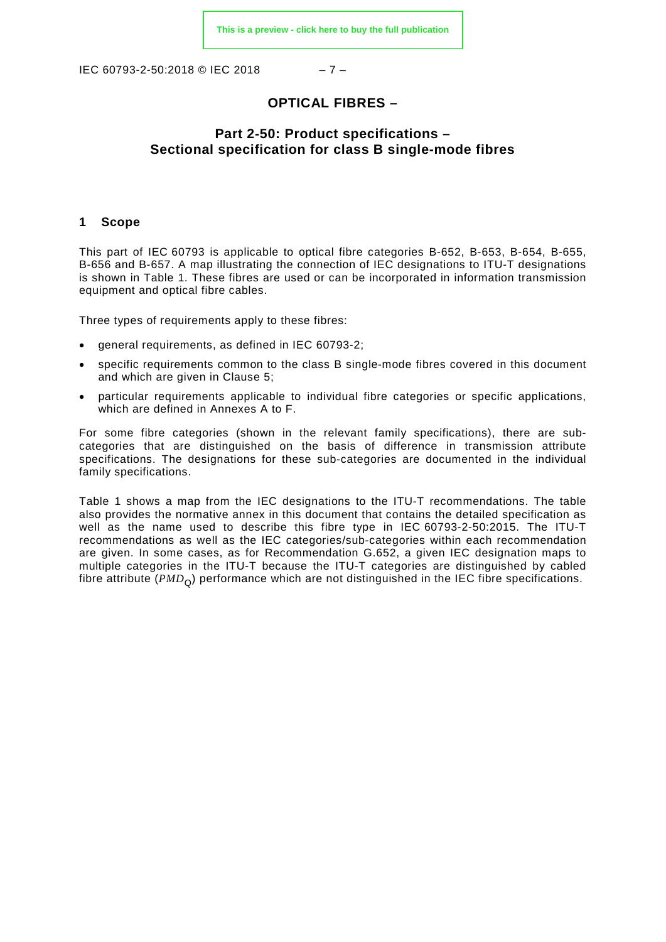IEC 60793-2-50:2018 © IEC 2018 – 7 –

#### **OPTICAL FIBRES –**

#### **Part 2-50: Product specifications – Sectional specification for class B single-mode fibres**

#### <span id="page-6-0"></span>**1 Scope**

This part of IEC 60793 is applicable to optical fibre categories B-652, B-653, B-654, B-655, B-656 and B-657. A map illustrating the connection of IEC designations to ITU-T designations is shown in [Table 1.](#page-7-1) These fibres are used or can be incorporated in information transmission equipment and optical fibre cables.

Three types of requirements apply to these fibres:

- general requirements, as defined in IEC 60793-2;
- specific requirements common to the class B single-mode fibres covered in this document and which are given in Clause 5;
- particular requirements applicable to individual fibre categories or specific applications, which are defined in Annexes A to F.

For some fibre categories (shown in the relevant family specifications), there are subcategories that are distinguished on the basis of difference in transmission attribute specifications. The designations for these sub-categories are documented in the individual family specifications.

[Table 1](#page-7-1) shows a map from the IEC designations to the ITU-T recommendations. The table also provides the normative annex in this document that contains the detailed specification as well as the name used to describe this fibre type in IEC 60793-2-50:2015. The ITU-T recommendations as well as the IEC categories/sub-categories within each recommendation are given. In some cases, as for Recommendation G.652, a given IEC designation maps to multiple categories in the ITU-T because the ITU-T categories are distinguished by cabled fibre attribute (*PMD<sub>Q</sub>*) performance which are not distinguished in the IEC fibre specifications.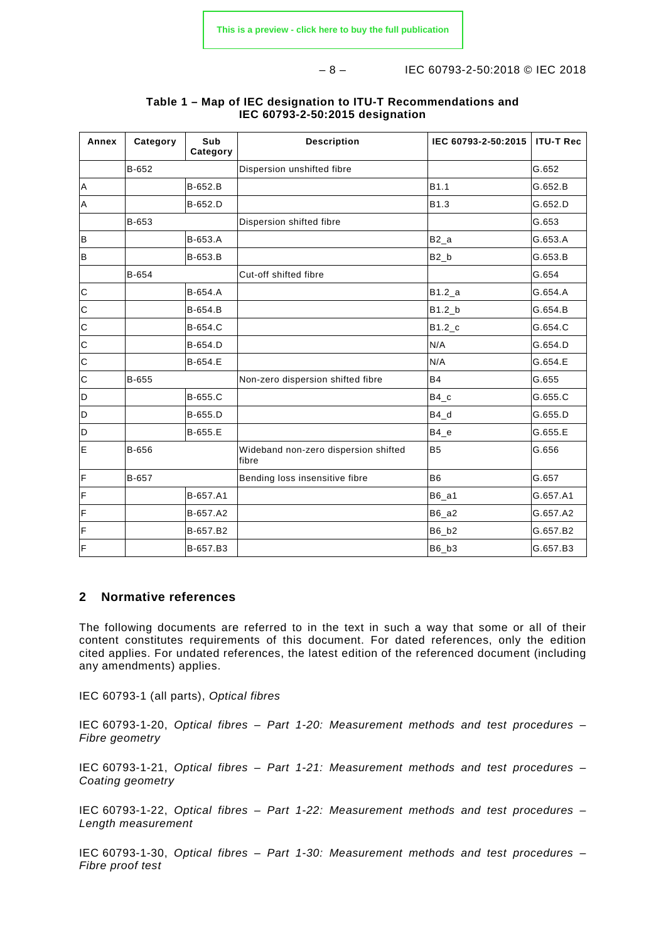– 8 – IEC 60793-2-50:2018 © IEC 2018

<span id="page-7-1"></span>

| Annex        | Category | Sub<br>Category | <b>Description</b>                            | IEC 60793-2-50:2015  | <b>ITU-T Rec</b> |
|--------------|----------|-----------------|-----------------------------------------------|----------------------|------------------|
|              | B-652    |                 | Dispersion unshifted fibre                    |                      | G.652            |
| A            |          | B-652.B         |                                               | B1.1                 | G.652.B          |
| $\sf A$      |          | B-652.D         |                                               | B1.3                 | G.652.D          |
|              | B-653    |                 | Dispersion shifted fibre                      |                      | G.653            |
| B            |          | B-653.A         |                                               | $B2_a$               | G.653.A          |
| B            |          | B-653.B         |                                               | $B2_b$               | G.653.B          |
|              | B-654    |                 | Cut-off shifted fibre                         |                      | G.654            |
| $\mathbf C$  |          | B-654.A         |                                               | B1.2 a               | G.654.A          |
| $\mathsf{C}$ |          | B-654.B         |                                               | $B1.2_b$             | G.654.B          |
| $\mathsf{C}$ |          | B-654.C         |                                               | $B1.2$ <sub>_C</sub> | G.654.C          |
| $\mathbf C$  |          | B-654.D         |                                               | N/A                  | G.654.D          |
| $\mathbf C$  |          | B-654.E         |                                               | N/A                  | G.654.E          |
| $\mathbf C$  | B-655    |                 | Non-zero dispersion shifted fibre             | <b>B4</b>            | G.655            |
| D            |          | B-655.C         |                                               | $B4_c$               | G.655.C          |
| D            |          | B-655.D         |                                               | $B4_d$               | G.655.D          |
| D            |          | B-655.E         |                                               | $B4_e$               | G.655.E          |
| E            | B-656    |                 | Wideband non-zero dispersion shifted<br>fibre | B <sub>5</sub>       | G.656            |
| F            | B-657    |                 | Bending loss insensitive fibre                | B <sub>6</sub>       | G.657            |
| F            |          | B-657.A1        |                                               | $B6_a1$              | G.657.A1         |
| F            |          | B-657.A2        |                                               | B6_a2                | G.657.A2         |
| F            |          | B-657.B2        |                                               | B6_b2                | G.657.B2         |
| F            |          | B-657.B3        |                                               | B6_b3                | G.657.B3         |

#### **Table 1 – Map of IEC designation to ITU-T Recommendations and IEC 60793-2-50:2015 designation**

#### <span id="page-7-0"></span>**2 Normative references**

The following documents are referred to in the text in such a way that some or all of their content constitutes requirements of this document. For dated references, only the edition cited applies. For undated references, the latest edition of the referenced document (including any amendments) applies.

IEC 60793-1 (all parts), *Optical fibres*

IEC 60793-1-20, *Optical fibres – Part 1-20: Measurement methods and test procedures – Fibre geometry*

IEC 60793-1-21, *Optical fibres – Part 1-21: Measurement methods and test procedures – Coating geometry*

IEC 60793-1-22, *Optical fibres – Part 1-22: Measurement methods and test procedures – Length measurement*

IEC 60793-1-30, *Optical fibres – Part 1-30: Measurement methods and test procedures – Fibre proof test*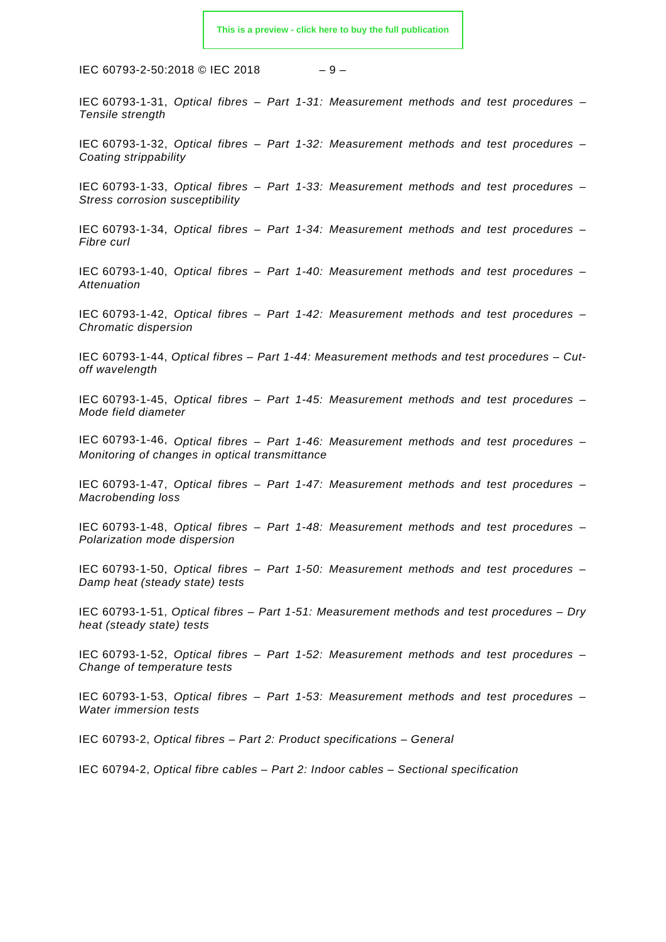IEC 60793-2-50:2018 © IEC 2018 – 9 –

IEC 60793-1-31, *Optical fibres – Part 1-31: Measurement methods and test procedures – Tensile strength*

IEC 60793-1-32, *Optical fibres – Part 1-32: Measurement methods and test procedures – Coating strippability*

IEC 60793-1-33, *Optical fibres – Part 1-33: Measurement methods and test procedures – Stress corrosion susceptibility*

IEC 60793-1-34, *Optical fibres – Part 1-34: Measurement methods and test procedures – Fibre curl*

IEC 60793-1-40, *Optical fibres – Part 1-40: Measurement methods and test procedures – Attenuation*

IEC 60793-1-42, *Optical fibres – Part 1-42: Measurement methods and test procedures – Chromatic dispersion*

IEC 60793-1-44, *Optical fibres – Part 1-44: Measurement methods and test procedures – Cutoff wavelength*

IEC 60793-1-45, *Optical fibres – Part 1-45: Measurement methods and test procedures – Mode field diameter*

IEC 60793-1-46, *Optical fibres – Part 1-46: Measurement methods and test procedures – Monitoring of changes in optical transmittance*

IEC 60793-1-47, *Optical fibres – Part 1-47: Measurement methods and test procedures – Macrobending loss*

IEC 60793-1-48, *Optical fibres – Part 1-48: Measurement methods and test procedures – Polarization mode dispersion*

IEC 60793-1-50, *Optical fibres – Part 1-50: Measurement methods and test procedures – Damp heat (steady state) tests*

IEC 60793-1-51, *Optical fibres – Part 1-51: Measurement methods and test procedures – Dry heat (steady state) tests*

IEC 60793-1-52, *Optical fibres – Part 1-52: Measurement methods and test procedures – Change of temperature tests*

IEC 60793-1-53, *Optical fibres – Part 1-53: Measurement methods and test procedures – Water immersion tests*

IEC 60793-2, *Optical fibres – Part 2: Product specifications – General*

<span id="page-8-0"></span>IEC 60794-2, *Optical fibre cables – Part 2: Indoor cables – Sectional specification*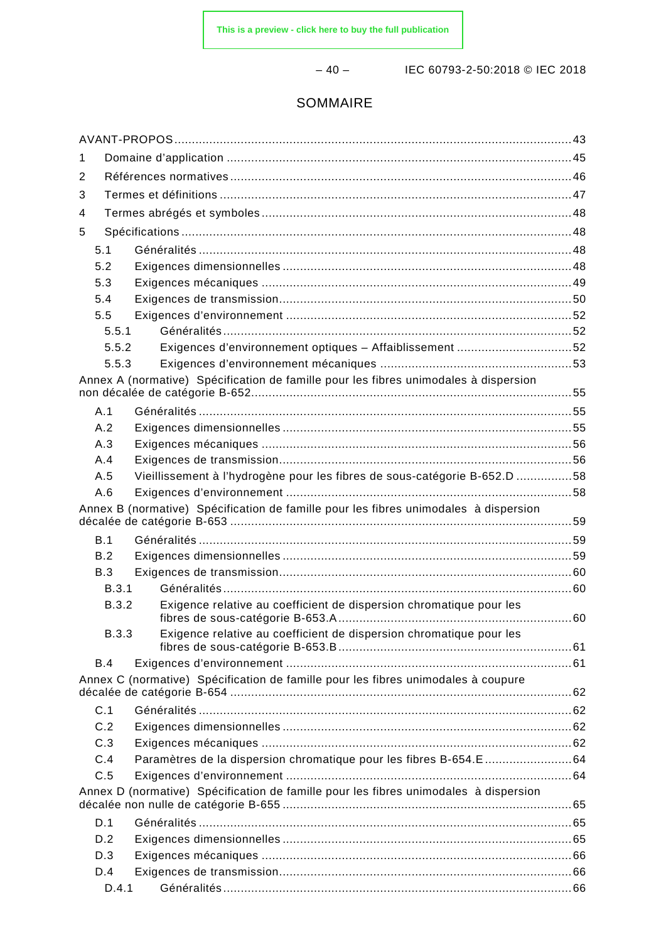– 40 – IEC 60793-2-50:2018 © IEC 2018

#### SOMMAIRE

| 1            |                                                                                      |  |  |  |  |
|--------------|--------------------------------------------------------------------------------------|--|--|--|--|
| 2            |                                                                                      |  |  |  |  |
| 3            |                                                                                      |  |  |  |  |
| 4            |                                                                                      |  |  |  |  |
| 5            |                                                                                      |  |  |  |  |
| 5.1          |                                                                                      |  |  |  |  |
| 5.2          |                                                                                      |  |  |  |  |
| 5.3          |                                                                                      |  |  |  |  |
| 5.4          |                                                                                      |  |  |  |  |
| 5.5          |                                                                                      |  |  |  |  |
| 5.5.1        |                                                                                      |  |  |  |  |
| 5.5.2        | Exigences d'environnement optiques - Affaiblissement 52                              |  |  |  |  |
| 5.5.3        |                                                                                      |  |  |  |  |
|              | Annex A (normative) Spécification de famille pour les fibres unimodales à dispersion |  |  |  |  |
| A.1          |                                                                                      |  |  |  |  |
| A.2          |                                                                                      |  |  |  |  |
| A.3          |                                                                                      |  |  |  |  |
| A.4          |                                                                                      |  |  |  |  |
| A.5          | Vieillissement à l'hydrogène pour les fibres de sous-catégorie B-652.D 58            |  |  |  |  |
| A.6          |                                                                                      |  |  |  |  |
|              | Annex B (normative) Spécification de famille pour les fibres unimodales à dispersion |  |  |  |  |
| B.1          |                                                                                      |  |  |  |  |
| B.2          |                                                                                      |  |  |  |  |
| B.3          |                                                                                      |  |  |  |  |
| B.3.1        |                                                                                      |  |  |  |  |
| <b>B.3.2</b> | Exigence relative au coefficient de dispersion chromatique pour les                  |  |  |  |  |
| <b>B.3.3</b> | Exigence relative au coefficient de dispersion chromatique pour les                  |  |  |  |  |
|              |                                                                                      |  |  |  |  |
| <b>B.4</b>   |                                                                                      |  |  |  |  |
|              | Annex C (normative) Spécification de famille pour les fibres unimodales à coupure    |  |  |  |  |
| C.1          |                                                                                      |  |  |  |  |
| C.2          |                                                                                      |  |  |  |  |
| C.3          |                                                                                      |  |  |  |  |
| C.4          | Paramètres de la dispersion chromatique pour les fibres B-654.E 64                   |  |  |  |  |
| C.5          |                                                                                      |  |  |  |  |
|              | Annex D (normative) Spécification de famille pour les fibres unimodales à dispersion |  |  |  |  |
| D.1          |                                                                                      |  |  |  |  |
| D.2          |                                                                                      |  |  |  |  |
| D.3          |                                                                                      |  |  |  |  |
| D.4          |                                                                                      |  |  |  |  |
| D.4.1        |                                                                                      |  |  |  |  |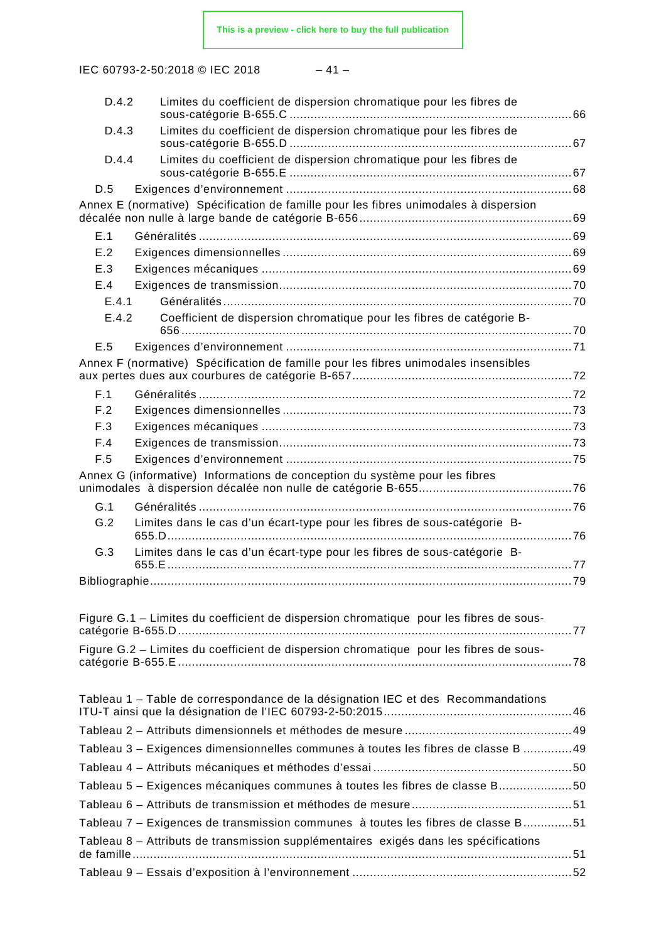IEC 60793-2-50:2018 © IEC 2018

|--|

| D.4.2 | Limites du coefficient de dispersion chromatique pour les fibres de                    |  |
|-------|----------------------------------------------------------------------------------------|--|
| D.4.3 | Limites du coefficient de dispersion chromatique pour les fibres de                    |  |
| D.4.4 | Limites du coefficient de dispersion chromatique pour les fibres de                    |  |
|       |                                                                                        |  |
| D.5   |                                                                                        |  |
|       | Annex E (normative) Spécification de famille pour les fibres unimodales à dispersion   |  |
| E.1   |                                                                                        |  |
| E.2   |                                                                                        |  |
| E.3   |                                                                                        |  |
| E.4   |                                                                                        |  |
| E.4.1 |                                                                                        |  |
| E.4.2 | Coefficient de dispersion chromatique pour les fibres de catégorie B-                  |  |
| E.5   |                                                                                        |  |
|       | Annex F (normative) Spécification de famille pour les fibres unimodales insensibles    |  |
| F.1   |                                                                                        |  |
| F.2   |                                                                                        |  |
| F.3   |                                                                                        |  |
| F.4   |                                                                                        |  |
| F.5   |                                                                                        |  |
|       | Annex G (informative) Informations de conception du système pour les fibres            |  |
| G.1   |                                                                                        |  |
| G.2   | Limites dans le cas d'un écart-type pour les fibres de sous-catégorie B-               |  |
| G.3   | Limites dans le cas d'un écart-type pour les fibres de sous-catégorie B-               |  |
|       |                                                                                        |  |
|       |                                                                                        |  |
|       | Figure G.1 - Limites du coefficient de dispersion chromatique pour les fibres de sous- |  |
|       | Figure G.2 - Limites du coefficient de dispersion chromatique pour les fibres de sous- |  |
|       |                                                                                        |  |
|       | Tableau 1 – Table de correspondance de la désignation IEC et des Recommandations       |  |
|       |                                                                                        |  |
|       | Tableau 3 – Exigences dimensionnelles communes à toutes les fibres de classe B 49      |  |
|       |                                                                                        |  |
|       | Tableau 5 - Exigences mécaniques communes à toutes les fibres de classe B50            |  |
|       |                                                                                        |  |
|       | Tableau 7 - Exigences de transmission communes à toutes les fibres de classe B51       |  |
|       |                                                                                        |  |
|       | Tableau 8 – Attributs de transmission supplémentaires exigés dans les spécifications   |  |
|       |                                                                                        |  |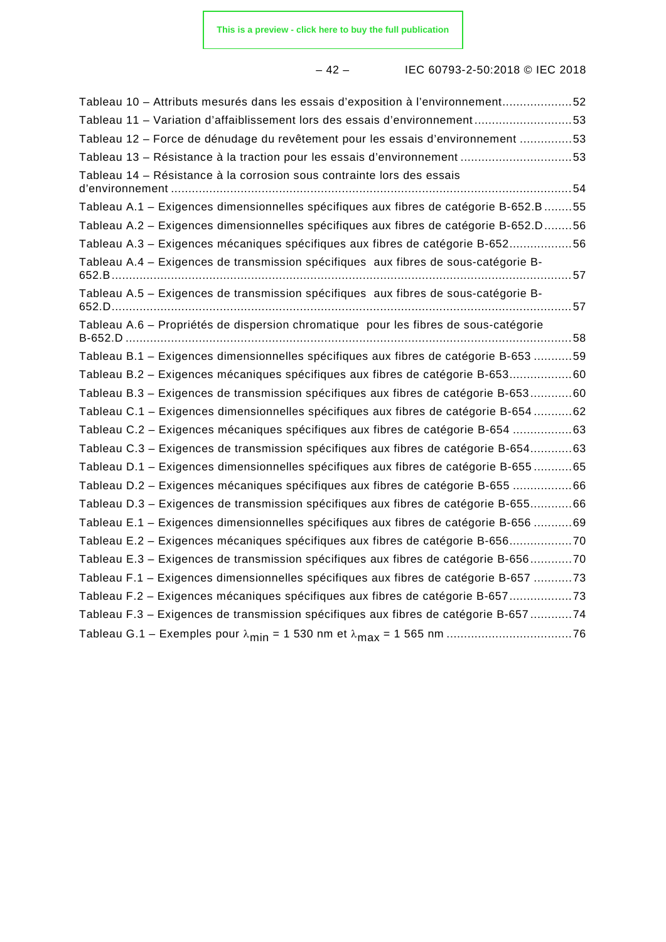– 42 – IEC 60793-2-50:2018 © IEC 2018

| Tableau 10 - Attributs mesurés dans les essais d'exposition à l'environnement52              |
|----------------------------------------------------------------------------------------------|
| Tableau 11 - Variation d'affaiblissement lors des essais d'environnement53                   |
| Tableau 12 - Force de dénudage du revêtement pour les essais d'environnement 53              |
| Tableau 13 - Résistance à la traction pour les essais d'environnement 53                     |
| Tableau 14 - Résistance à la corrosion sous contrainte lors des essais<br>d'environnement.   |
| Tableau A.1 - Exigences dimensionnelles spécifiques aux fibres de catégorie B-652.B55        |
| Tableau A.2 - Exigences dimensionnelles spécifiques aux fibres de catégorie B-652.D56        |
| Tableau A.3 - Exigences mécaniques spécifiques aux fibres de catégorie B-65256               |
| Tableau A.4 - Exigences de transmission spécifiques aux fibres de sous-catégorie B-          |
| Tableau A.5 - Exigences de transmission spécifiques aux fibres de sous-catégorie B-<br>652.D |
| Tableau A.6 - Propriétés de dispersion chromatique pour les fibres de sous-catégorie         |
| Tableau B.1 - Exigences dimensionnelles spécifiques aux fibres de catégorie B-653 59         |
| Tableau B.2 - Exigences mécaniques spécifiques aux fibres de catégorie B-65360               |
| Tableau B.3 - Exigences de transmission spécifiques aux fibres de catégorie B-65360          |
| Tableau C.1 - Exigences dimensionnelles spécifiques aux fibres de catégorie B-654 62         |
| Tableau C.2 - Exigences mécaniques spécifiques aux fibres de catégorie B-654 63              |
| Tableau C.3 - Exigences de transmission spécifiques aux fibres de catégorie B-65463          |
| Tableau D.1 - Exigences dimensionnelles spécifiques aux fibres de catégorie B-655 65         |
| Tableau D.2 - Exigences mécaniques spécifiques aux fibres de catégorie B-655 66              |
| Tableau D.3 – Exigences de transmission spécifiques aux fibres de catégorie B-65566          |
| Tableau E.1 - Exigences dimensionnelles spécifiques aux fibres de catégorie B-656 69         |
| Tableau E.2 - Exigences mécaniques spécifiques aux fibres de catégorie B-65670               |
| Tableau E.3 - Exigences de transmission spécifiques aux fibres de catégorie B-65670          |
| Tableau F.1 - Exigences dimensionnelles spécifiques aux fibres de catégorie B-657 73         |
| Tableau F.2 - Exigences mécaniques spécifiques aux fibres de catégorie B-65773               |
| Tableau F.3 - Exigences de transmission spécifiques aux fibres de catégorie B-657 74         |
|                                                                                              |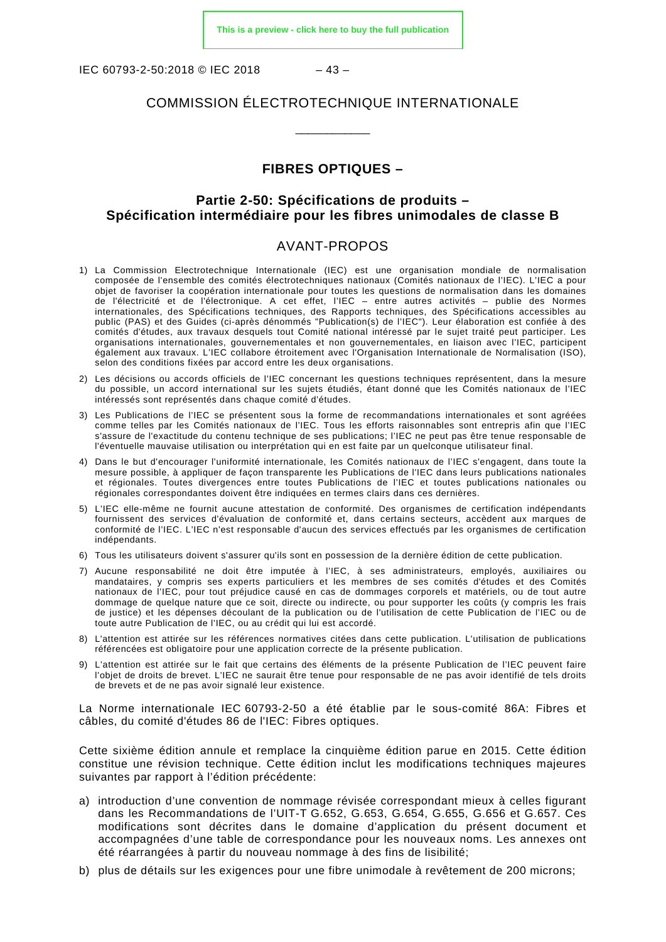IEC 60793-2-50:2018 © IEC 2018 – 43 –

#### COMMISSION ÉLECTROTECHNIQUE INTERNATIONALE

\_\_\_\_\_\_\_\_\_\_\_\_

#### **FIBRES OPTIQUES –**

#### **Partie 2-50: Spécifications de produits – Spécification intermédiaire pour les fibres unimodales de classe B**

#### AVANT-PROPOS

- <span id="page-12-0"></span>1) La Commission Electrotechnique Internationale (IEC) est une organisation mondiale de normalisation composée de l'ensemble des comités électrotechniques nationaux (Comités nationaux de l'IEC). L'IEC a pour objet de favoriser la coopération internationale pour toutes les questions de normalisation dans les domaines de l'électricité et de l'électronique. A cet effet, l'IEC – entre autres activités – publie des Normes internationales, des Spécifications techniques, des Rapports techniques, des Spécifications accessibles au public (PAS) et des Guides (ci-après dénommés "Publication(s) de l'IEC"). Leur élaboration est confiée à des comités d'études, aux travaux desquels tout Comité national intéressé par le sujet traité peut participer. Les organisations internationales, gouvernementales et non gouvernementales, en liaison avec l'IEC, participent également aux travaux. L'IEC collabore étroitement avec l'Organisation Internationale de Normalisation (ISO), selon des conditions fixées par accord entre les deux organisations.
- 2) Les décisions ou accords officiels de l'IEC concernant les questions techniques représentent, dans la mesure du possible, un accord international sur les sujets étudiés, étant donné que les Comités nationaux de l'IEC intéressés sont représentés dans chaque comité d'études.
- 3) Les Publications de l'IEC se présentent sous la forme de recommandations internationales et sont agréées comme telles par les Comités nationaux de l'IEC. Tous les efforts raisonnables sont entrepris afin que l'IEC s'assure de l'exactitude du contenu technique de ses publications; l'IEC ne peut pas être tenue responsable de l'éventuelle mauvaise utilisation ou interprétation qui en est faite par un quelconque utilisateur final.
- 4) Dans le but d'encourager l'uniformité internationale, les Comités nationaux de l'IEC s'engagent, dans toute la mesure possible, à appliquer de façon transparente les Publications de l'IEC dans leurs publications nationales et régionales. Toutes divergences entre toutes Publications de l'IEC et toutes publications nationales ou régionales correspondantes doivent être indiquées en termes clairs dans ces dernières.
- 5) L'IEC elle-même ne fournit aucune attestation de conformité. Des organismes de certification indépendants fournissent des services d'évaluation de conformité et, dans certains secteurs, accèdent aux marques de conformité de l'IEC. L'IEC n'est responsable d'aucun des services effectués par les organismes de certification indépendants.
- 6) Tous les utilisateurs doivent s'assurer qu'ils sont en possession de la dernière édition de cette publication.
- 7) Aucune responsabilité ne doit être imputée à l'IEC, à ses administrateurs, employés, auxiliaires ou mandataires, y compris ses experts particuliers et les membres de ses comités d'études et des Comités nationaux de l'IEC, pour tout préjudice causé en cas de dommages corporels et matériels, ou de tout autre dommage de quelque nature que ce soit, directe ou indirecte, ou pour supporter les coûts (y compris les frais de justice) et les dépenses découlant de la publication ou de l'utilisation de cette Publication de l'IEC ou de toute autre Publication de l'IEC, ou au crédit qui lui est accordé.
- 8) L'attention est attirée sur les références normatives citées dans cette publication. L'utilisation de publications référencées est obligatoire pour une application correcte de la présente publication.
- 9) L'attention est attirée sur le fait que certains des éléments de la présente Publication de l'IEC peuvent faire l'objet de droits de brevet. L'IEC ne saurait être tenue pour responsable de ne pas avoir identifié de tels droits de brevets et de ne pas avoir signalé leur existence.

La Norme internationale IEC 60793-2-50 a été établie par le sous-comité 86A: Fibres et câbles, du comité d'études 86 de l'IEC: Fibres optiques.

Cette sixième édition annule et remplace la cinquième édition parue en 2015. Cette édition constitue une révision technique. Cette édition inclut les modifications techniques majeures suivantes par rapport à l'édition précédente:

- a) introduction d'une convention de nommage révisée correspondant mieux à celles figurant dans les Recommandations de l'UIT-T G.652, G.653, G.654, G.655, G.656 et G.657. Ces modifications sont décrites dans le domaine d'application du présent document et accompagnées d'une table de correspondance pour les nouveaux noms. Les annexes ont été réarrangées à partir du nouveau nommage à des fins de lisibilité;
- b) plus de détails sur les exigences pour une fibre unimodale à revêtement de 200 microns;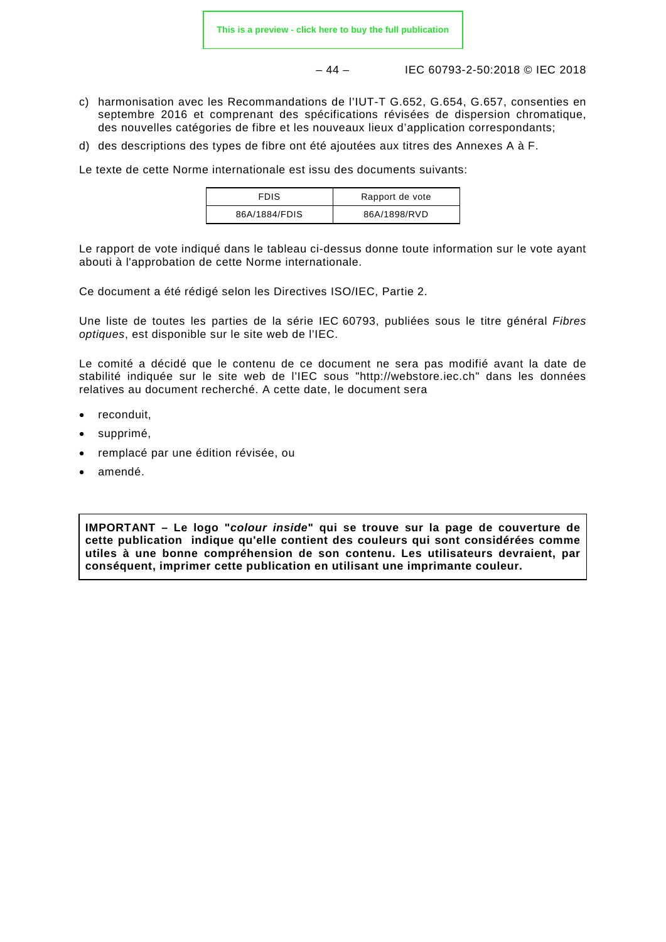– 44 – IEC 60793-2-50:2018 © IEC 2018

- c) harmonisation avec les Recommandations de l'IUT-T G.652, G.654, G.657, consenties en septembre 2016 et comprenant des spécifications révisées de dispersion chromatique, des nouvelles catégories de fibre et les nouveaux lieux d'application correspondants;
- d) des descriptions des types de fibre ont été ajoutées aux titres des Annexes A à F.

Le texte de cette Norme internationale est issu des documents suivants:

| FDIS          | Rapport de vote |
|---------------|-----------------|
| 86A/1884/FDIS | 86A/1898/RVD    |

Le rapport de vote indiqué dans le tableau ci-dessus donne toute information sur le vote ayant abouti à l'approbation de cette Norme internationale.

Ce document a été rédigé selon les Directives ISO/IEC, Partie 2.

Une liste de toutes les parties de la série IEC 60793, publiées sous le titre général *Fibres optiques*, est disponible sur le site web de l'IEC.

Le comité a décidé que le contenu de ce document ne sera pas modifié avant la date de stabilité indiquée sur le site web de l'IEC sous "http://webstore.iec.ch" dans les données relatives au document recherché. A cette date, le document sera

- reconduit.
- supprimé,
- remplacé par une édition révisée, ou
- amendé.

**IMPORTANT – Le logo "***colour inside***" qui se trouve sur la page de couverture de cette publication indique qu'elle contient des couleurs qui sont considérées comme utiles à une bonne compréhension de son contenu. Les utilisateurs devraient, par conséquent, imprimer cette publication en utilisant une imprimante couleur.**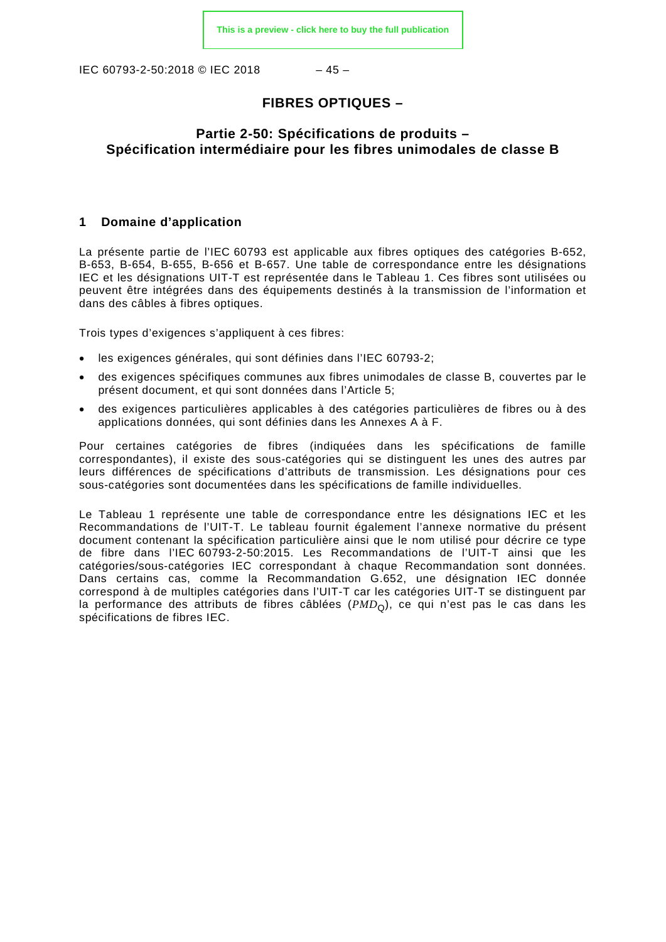IEC 60793-2-50:2018 © IEC 2018 – 45 –

#### **FIBRES OPTIQUES –**

#### **Partie 2-50: Spécifications de produits – Spécification intermédiaire pour les fibres unimodales de classe B**

#### <span id="page-14-0"></span>**1 Domaine d'application**

La présente partie de l'IEC 60793 est applicable aux fibres optiques des catégories B-652, B-653, B-654, B-655, B-656 et B-657. Une table de correspondance entre les désignations IEC et les désignations UIT-T est représentée dans le [Tableau 1.](#page-15-1) Ces fibres sont utilisées ou peuvent être intégrées dans des équipements destinés à la transmission de l'information et dans des câbles à fibres optiques.

Trois types d'exigences s'appliquent à ces fibres:

- les exigences générales, qui sont définies dans l'IEC 60793-2;
- des exigences spécifiques communes aux fibres unimodales de classe B, couvertes par le présent document, et qui sont données dans l'Article 5;
- des exigences particulières applicables à des catégories particulières de fibres ou à des applications données, qui sont définies dans les Annexes A à F.

Pour certaines catégories de fibres (indiquées dans les spécifications de famille correspondantes), il existe des sous-catégories qui se distinguent les unes des autres par leurs différences de spécifications d'attributs de transmission. Les désignations pour ces sous-catégories sont documentées dans les spécifications de famille individuelles.

Le [Tableau 1](#page-15-1) représente une table de correspondance entre les désignations IEC et les Recommandations de l'UIT-T. Le tableau fournit également l'annexe normative du présent document contenant la spécification particulière ainsi que le nom utilisé pour décrire ce type de fibre dans l'IEC 60793-2-50:2015. Les Recommandations de l'UIT-T ainsi que les catégories/sous-catégories IEC correspondant à chaque Recommandation sont données. Dans certains cas, comme la Recommandation G.652, une désignation IEC donnée correspond à de multiples catégories dans l'UIT-T car les catégories UIT-T se distinguent par la performance des attributs de fibres câblées  $(PMD<sub>O</sub>)$ , ce qui n'est pas le cas dans les spécifications de fibres IEC.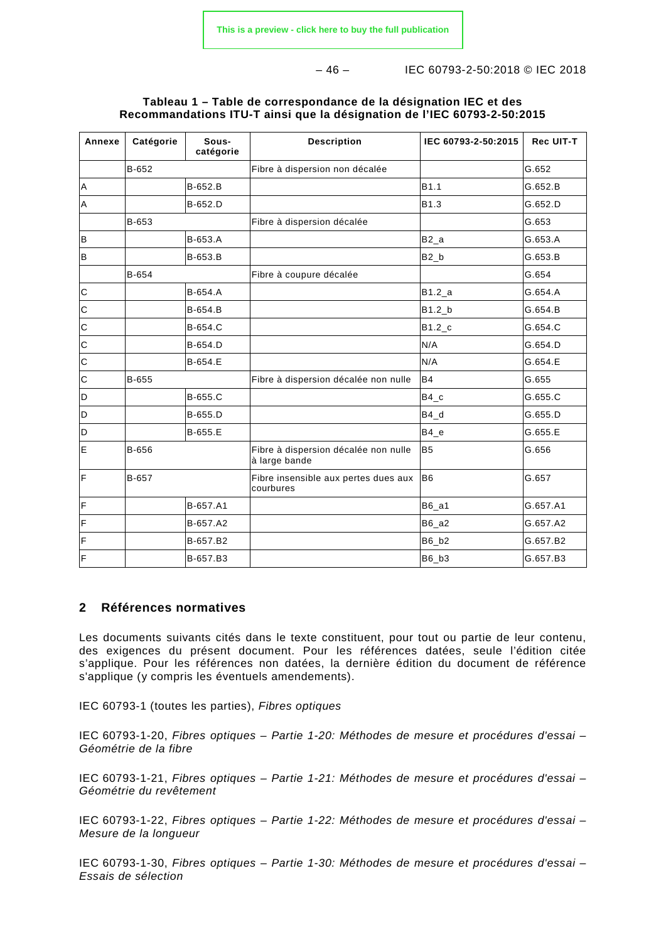– 46 – IEC 60793-2-50:2018 © IEC 2018

<span id="page-15-1"></span>

| Annexe         | Catégorie | Sous-<br>catégorie | <b>Description</b>                                    | IEC 60793-2-50:2015  | <b>Rec UIT-T</b> |
|----------------|-----------|--------------------|-------------------------------------------------------|----------------------|------------------|
|                | B-652     |                    | Fibre à dispersion non décalée                        |                      | G.652            |
| A              |           | B-652.B            |                                                       | B1.1                 | G.652.B          |
| A              |           | B-652.D            |                                                       | B <sub>1.3</sub>     | G.652.D          |
|                | B-653     |                    | Fibre à dispersion décalée                            |                      | G.653            |
| B              |           | B-653.A            |                                                       | $B2_a$               | G.653.A          |
| $\sf B$        |           | B-653.B            |                                                       | $B2_b$               | G.653.B          |
|                | B-654     |                    | Fibre à coupure décalée                               |                      | G.654            |
| $\mathbf C$    |           | B-654.A            |                                                       | B1.2 a               | G.654.A          |
| $\mathbf C$    |           | B-654.B            |                                                       | $B1.2_b$             | G.654.B          |
| $\mathsf{C}$   |           | B-654.C            |                                                       | $B1.2$ <sub>_C</sub> | G.654.C          |
| $\mathbf C$    |           | B-654.D            |                                                       | N/A                  | G.654.D          |
| $\mathsf{C}$   |           | B-654.E            |                                                       | N/A                  | G.654.E          |
| $\mathbf C$    | B-655     |                    | Fibre à dispersion décalée non nulle                  | <b>B4</b>            | G.655            |
| D              |           | B-655.C            |                                                       | $B4_c$               | G.655.C          |
| D              |           | B-655.D            |                                                       | $B4_d$               | G.655.D          |
| D              |           | B-655.E            |                                                       | $B4_e$               | G.655.E          |
| E              | B-656     |                    | Fibre à dispersion décalée non nulle<br>à large bande | B <sub>5</sub>       | G.656            |
| F              | B-657     |                    | Fibre insensible aux pertes dues aux<br>courbures     | B <sub>6</sub>       | G.657            |
| $\mathsf F$    |           | B-657.A1           |                                                       | $B6_a1$              | G.657.A1         |
| $\mathsf F$    |           | B-657.A2           |                                                       | $B6_a2$              | G.657.A2         |
| F              |           | B-657.B2           |                                                       | B6_b2                | G.657.B2         |
| $\overline{F}$ |           | B-657.B3           |                                                       | B6 b3                | G.657.B3         |

#### **Tableau 1 – Table de correspondance de la désignation IEC et des Recommandations ITU-T ainsi que la désignation de l'IEC 60793-2-50:2015**

#### <span id="page-15-0"></span>**2 Références normatives**

Les documents suivants cités dans le texte constituent, pour tout ou partie de leur contenu, des exigences du présent document. Pour les références datées, seule l'édition citée s'applique. Pour les références non datées, la dernière édition du document de référence s'applique (y compris les éventuels amendements).

IEC 60793-1 (toutes les parties), *Fibres optiques*

IEC 60793-1-20, *Fibres optiques – Partie 1-20: Méthodes de mesure et procédures d'essai – Géométrie de la fibre*

IEC 60793-1-21, *Fibres optiques – Partie 1-21: Méthodes de mesure et procédures d'essai – Géométrie du revêtement*

IEC 60793-1-22, *Fibres optiques – Partie 1-22: Méthodes de mesure et procédures d'essai – Mesure de la longueur*

IEC 60793-1-30, *Fibres optiques – Partie 1-30: Méthodes de mesure et procédures d'essai – Essais de sélection*